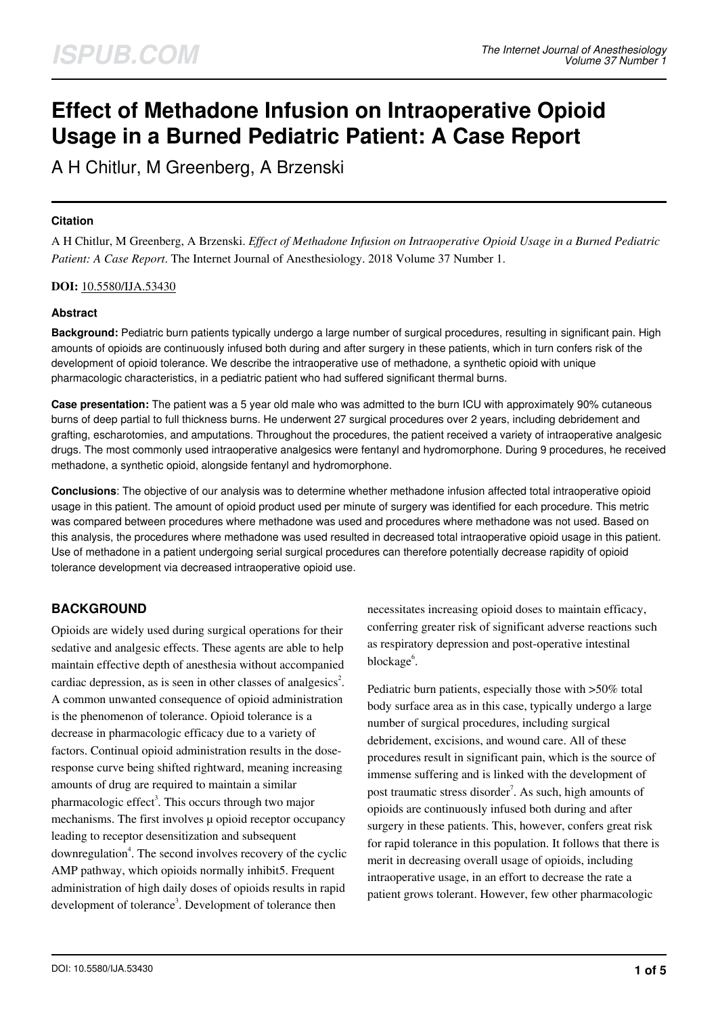# **Effect of Methadone Infusion on Intraoperative Opioid Usage in a Burned Pediatric Patient: A Case Report**

A H Chitlur, M Greenberg, A Brzenski

#### **Citation**

A H Chitlur, M Greenberg, A Brzenski. *Effect of Methadone Infusion on Intraoperative Opioid Usage in a Burned Pediatric Patient: A Case Report*. The Internet Journal of Anesthesiology. 2018 Volume 37 Number 1.

#### **DOI:** [10.5580/IJA.53430](https://ispub.com/doi/10.5580/IJA.53430)

#### **Abstract**

**Background:** Pediatric burn patients typically undergo a large number of surgical procedures, resulting in significant pain. High amounts of opioids are continuously infused both during and after surgery in these patients, which in turn confers risk of the development of opioid tolerance. We describe the intraoperative use of methadone, a synthetic opioid with unique pharmacologic characteristics, in a pediatric patient who had suffered significant thermal burns.

**Case presentation:** The patient was a 5 year old male who was admitted to the burn ICU with approximately 90% cutaneous burns of deep partial to full thickness burns. He underwent 27 surgical procedures over 2 years, including debridement and grafting, escharotomies, and amputations. Throughout the procedures, the patient received a variety of intraoperative analgesic drugs. The most commonly used intraoperative analgesics were fentanyl and hydromorphone. During 9 procedures, he received methadone, a synthetic opioid, alongside fentanyl and hydromorphone.

**Conclusions**: The objective of our analysis was to determine whether methadone infusion affected total intraoperative opioid usage in this patient. The amount of opioid product used per minute of surgery was identified for each procedure. This metric was compared between procedures where methadone was used and procedures where methadone was not used. Based on this analysis, the procedures where methadone was used resulted in decreased total intraoperative opioid usage in this patient. Use of methadone in a patient undergoing serial surgical procedures can therefore potentially decrease rapidity of opioid tolerance development via decreased intraoperative opioid use.

# **BACKGROUND**

Opioids are widely used during surgical operations for their sedative and analgesic effects. These agents are able to help maintain effective depth of anesthesia without accompanied cardiac depression, as is seen in other classes of analgesics<sup>2</sup>. A common unwanted consequence of opioid administration is the phenomenon of tolerance. Opioid tolerance is a decrease in pharmacologic efficacy due to a variety of factors. Continual opioid administration results in the doseresponse curve being shifted rightward, meaning increasing amounts of drug are required to maintain a similar pharmacologic effect<sup>3</sup>. This occurs through two major mechanisms. The first involves  $\mu$  opioid receptor occupancy leading to receptor desensitization and subsequent downregulation<sup>4</sup>. The second involves recovery of the cyclic AMP pathway, which opioids normally inhibit5. Frequent administration of high daily doses of opioids results in rapid development of tolerance<sup>3</sup>. Development of tolerance then

necessitates increasing opioid doses to maintain efficacy, conferring greater risk of significant adverse reactions such as respiratory depression and post-operative intestinal blockage<sup>6</sup>.

Pediatric burn patients, especially those with >50% total body surface area as in this case, typically undergo a large number of surgical procedures, including surgical debridement, excisions, and wound care. All of these procedures result in significant pain, which is the source of immense suffering and is linked with the development of post traumatic stress disorder<sup>7</sup>. As such, high amounts of opioids are continuously infused both during and after surgery in these patients. This, however, confers great risk for rapid tolerance in this population. It follows that there is merit in decreasing overall usage of opioids, including intraoperative usage, in an effort to decrease the rate a patient grows tolerant. However, few other pharmacologic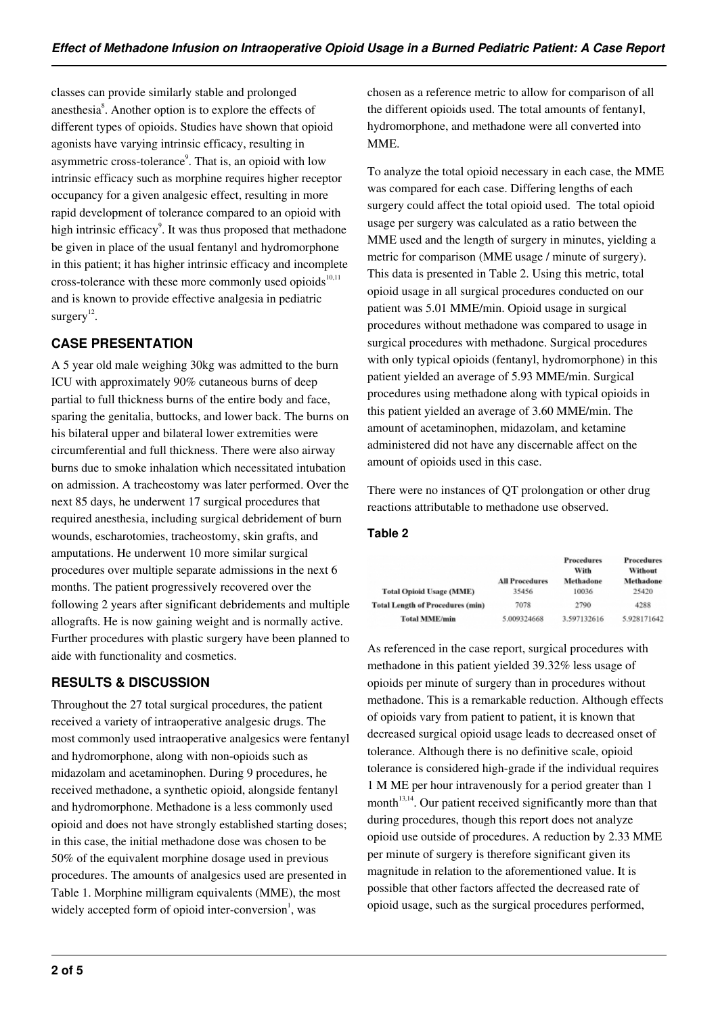classes can provide similarly stable and prolonged anesthesia<sup>8</sup>. Another option is to explore the effects of different types of opioids. Studies have shown that opioid agonists have varying intrinsic efficacy, resulting in asymmetric cross-tolerance<sup>9</sup>. That is, an opioid with low intrinsic efficacy such as morphine requires higher receptor occupancy for a given analgesic effect, resulting in more rapid development of tolerance compared to an opioid with high intrinsic efficacy<sup>9</sup>. It was thus proposed that methadone be given in place of the usual fentanyl and hydromorphone in this patient; it has higher intrinsic efficacy and incomplete cross-tolerance with these more commonly used opioids $10,11$ and is known to provide effective analgesia in pediatric surgery $^{12}$ .

# **CASE PRESENTATION**

A 5 year old male weighing 30kg was admitted to the burn ICU with approximately 90% cutaneous burns of deep partial to full thickness burns of the entire body and face, sparing the genitalia, buttocks, and lower back. The burns on his bilateral upper and bilateral lower extremities were circumferential and full thickness. There were also airway burns due to smoke inhalation which necessitated intubation on admission. A tracheostomy was later performed. Over the next 85 days, he underwent 17 surgical procedures that required anesthesia, including surgical debridement of burn wounds, escharotomies, tracheostomy, skin grafts, and amputations. He underwent 10 more similar surgical procedures over multiple separate admissions in the next 6 months. The patient progressively recovered over the following 2 years after significant debridements and multiple allografts. He is now gaining weight and is normally active. Further procedures with plastic surgery have been planned to aide with functionality and cosmetics.

# **RESULTS & DISCUSSION**

Throughout the 27 total surgical procedures, the patient received a variety of intraoperative analgesic drugs. The most commonly used intraoperative analgesics were fentanyl and hydromorphone, along with non-opioids such as midazolam and acetaminophen. During 9 procedures, he received methadone, a synthetic opioid, alongside fentanyl and hydromorphone. Methadone is a less commonly used opioid and does not have strongly established starting doses; in this case, the initial methadone dose was chosen to be 50% of the equivalent morphine dosage used in previous procedures. The amounts of analgesics used are presented in Table 1. Morphine milligram equivalents (MME), the most widely accepted form of opioid inter-conversion<sup>1</sup>, was

chosen as a reference metric to allow for comparison of all the different opioids used. The total amounts of fentanyl, hydromorphone, and methadone were all converted into MME.

To analyze the total opioid necessary in each case, the MME was compared for each case. Differing lengths of each surgery could affect the total opioid used. The total opioid usage per surgery was calculated as a ratio between the MME used and the length of surgery in minutes, yielding a metric for comparison (MME usage / minute of surgery). This data is presented in Table 2. Using this metric, total opioid usage in all surgical procedures conducted on our patient was 5.01 MME/min. Opioid usage in surgical procedures without methadone was compared to usage in surgical procedures with methadone. Surgical procedures with only typical opioids (fentanyl, hydromorphone) in this patient yielded an average of 5.93 MME/min. Surgical procedures using methadone along with typical opioids in this patient yielded an average of 3.60 MME/min. The amount of acetaminophen, midazolam, and ketamine administered did not have any discernable affect on the amount of opioids used in this case.

There were no instances of QT prolongation or other drug reactions attributable to methadone use observed.

### **Table 2**

|                                         |                       | <b>Procedures</b><br>With | <b>Procedures</b><br>Without |
|-----------------------------------------|-----------------------|---------------------------|------------------------------|
|                                         | <b>All Procedures</b> | Methadone                 | Methadone                    |
| <b>Total Opioid Usage (MME)</b>         | 35456                 | 10036                     | 25420                        |
| <b>Total Length of Procedures (min)</b> | 7078                  | 2790                      | 4288                         |
| <b>Total MME/min</b>                    | 5.009324668           | 3.597132616               | 5.928171642                  |

As referenced in the case report, surgical procedures with methadone in this patient yielded 39.32% less usage of opioids per minute of surgery than in procedures without methadone. This is a remarkable reduction. Although effects of opioids vary from patient to patient, it is known that decreased surgical opioid usage leads to decreased onset of tolerance. Although there is no definitive scale, opioid tolerance is considered high-grade if the individual requires 1 M ME per hour intravenously for a period greater than 1 month $13,14$ . Our patient received significantly more than that during procedures, though this report does not analyze opioid use outside of procedures. A reduction by 2.33 MME per minute of surgery is therefore significant given its magnitude in relation to the aforementioned value. It is possible that other factors affected the decreased rate of opioid usage, such as the surgical procedures performed,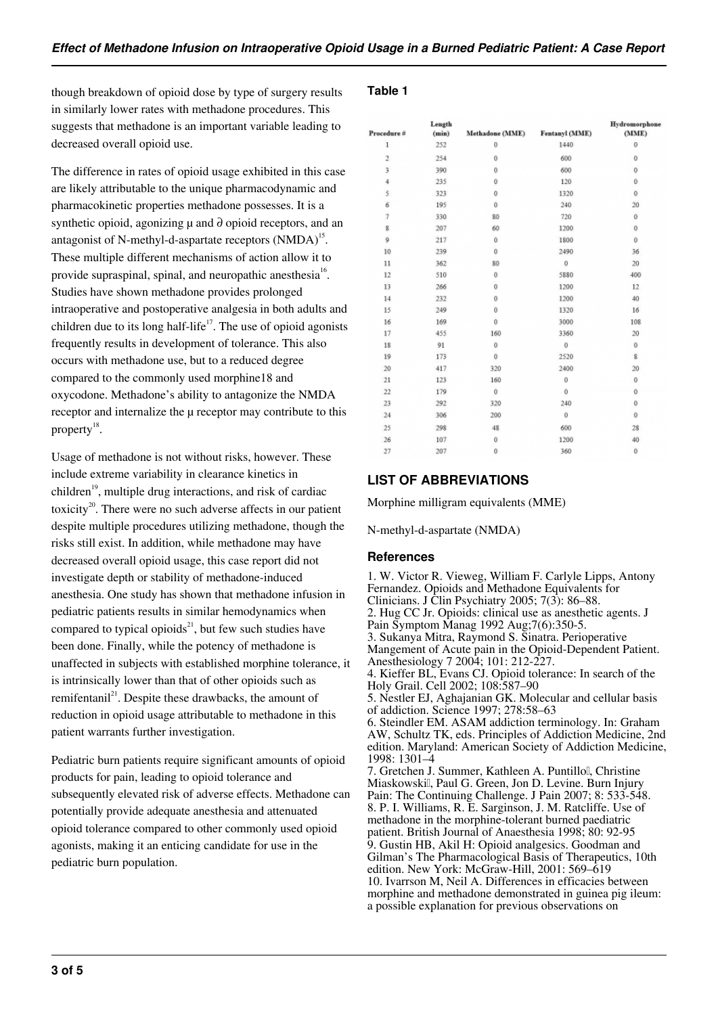though breakdown of opioid dose by type of surgery results in similarly lower rates with methadone procedures. This suggests that methadone is an important variable leading to decreased overall opioid use.

The difference in rates of opioid usage exhibited in this case are likely attributable to the unique pharmacodynamic and pharmacokinetic properties methadone possesses. It is a synthetic opioid, agonizing  $\mu$  and  $\partial$  opioid receptors, and an antagonist of N-methyl-d-aspartate receptors  $(NMDA)$ <sup>15</sup>. These multiple different mechanisms of action allow it to provide supraspinal, spinal, and neuropathic anesthesia<sup>16</sup>. Studies have shown methadone provides prolonged intraoperative and postoperative analgesia in both adults and children due to its long half-life<sup>17</sup>. The use of opioid agonists frequently results in development of tolerance. This also occurs with methadone use, but to a reduced degree compared to the commonly used morphine18 and oxycodone. Methadone's ability to antagonize the NMDA receptor and internalize the  $\mu$  receptor may contribute to this property $^{18}$ .

Usage of methadone is not without risks, however. These include extreme variability in clearance kinetics in children<sup>19</sup>, multiple drug interactions, and risk of cardiac toxicity<sup>20</sup>. There were no such adverse affects in our patient despite multiple procedures utilizing methadone, though the risks still exist. In addition, while methadone may have decreased overall opioid usage, this case report did not investigate depth or stability of methadone-induced anesthesia. One study has shown that methadone infusion in pediatric patients results in similar hemodynamics when compared to typical opioids<sup>21</sup>, but few such studies have been done. Finally, while the potency of methadone is unaffected in subjects with established morphine tolerance, it is intrinsically lower than that of other opioids such as remifentanil<sup>21</sup>. Despite these drawbacks, the amount of reduction in opioid usage attributable to methadone in this patient warrants further investigation.

Pediatric burn patients require significant amounts of opioid products for pain, leading to opioid tolerance and subsequently elevated risk of adverse effects. Methadone can potentially provide adequate anesthesia and attenuated opioid tolerance compared to other commonly used opioid agonists, making it an enticing candidate for use in the pediatric burn population.

#### **Table 1**

| Procedure #    | Length<br>(min) | Methadone (MME)     | Fentanyl (MME)  | Hydromorphone<br>(MME) |
|----------------|-----------------|---------------------|-----------------|------------------------|
| 1              | 252             | 0                   | 1440            | $\mathbf 0$            |
| $\overline{2}$ | 254             | $\bf{0}$            | 600             | $\mathbf 0$            |
| 3              | 390             | 0                   | 600             | 0                      |
| 4              | 235             | 0                   | 120             | 0                      |
| 5              | 323             | $\bf{0}$            | 1320            | $\mathbf 0$            |
| 6              | 195             | Ŭ                   | 240             | 20                     |
| 7              | 330             | 80                  | 720             | $\theta$               |
| g              | 207             | 60                  | 1200            | 0                      |
| 9              | 217             | Ŭ                   | 1800            | $\ddot{\rm{o}}$        |
| 10             | 239             | $\bf{0}$            | 2490            | 36                     |
| 11             | 362             | 80                  | $\circ$         | 20                     |
| 12             | 510             | $\bf{0}$            | 5880            | 400                    |
| 13             | 266             | $\ddot{\mathbf{0}}$ | 1200            | 12                     |
| 14             | 232             | 0                   | 1200            | 40                     |
| 15             | 249             | 0                   | 1320            | 16                     |
| 16             | 169             | $\bf{0}$            | 3000            | 108                    |
| 17             | 455             | 160                 | 3360            | 20                     |
| 18             | 91              | $\bf{0}$            | $\mathbf 0$     | $\mathbf 0$            |
| 19             | 173             | 0                   | 2520            | 8                      |
| 20             | 417             | 320                 | 2400            | 20                     |
| 21             | 123             | 160                 | 0               | 0                      |
| 22             | 179             | Ü                   | $\ddot{\rm{o}}$ | $\circ$                |
| 23             | 292             | 320                 | 240             | 0                      |
| 24             | 306             | 200                 | 0               | 0                      |
| 25             | 298             | 48                  | 600             | 28                     |
| 26             | 107             | 0                   | 1200            | 40                     |
| 27             | 207             | $\bf{0}$            | 360             | $\bf{0}$               |

# **LIST OF ABBREVIATIONS**

Morphine milligram equivalents (MME)

N-methyl-d-aspartate (NMDA)

#### **References**

1. W. Victor R. Vieweg, William F. Carlyle Lipps, Antony Fernandez. Opioids and Methadone Equivalents for Clinicians. J Clin Psychiatry 2005; 7(3): 86–88. 2. Hug CC Jr. Opioids: clinical use as anesthetic agents. J Pain Symptom Manag 1992 Aug;7(6):350-5. 3. Sukanya Mitra, Raymond S. Sinatra. Perioperative Mangement of Acute pain in the Opioid-Dependent Patient. Anesthesiology 7 2004; 101: 212-227. 4. Kieffer BL, Evans CJ. Opioid tolerance: In search of the Holy Grail. Cell 2002; 108:587–90 5. Nestler EJ, Aghajanian GK. Molecular and cellular basis of addiction. Science 1997; 278:58–63 6. Steindler EM. ASAM addiction terminology. In: Graham AW, Schultz TK, eds. Principles of Addiction Medicine, 2nd edition. Maryland: American Society of Addiction Medicine, 1998: 1301–4 7. Gretchen J. Summer, Kathleen A. Puntillol, Christine Miaskowskil, Paul G. Green, Jon D. Levine. Burn Injury Pain: The Continuing Challenge. J Pain 2007; 8: 533-548. 8. P. I. Williams, R. E. Sarginson, J. M. Ratcliffe. Use of methadone in the morphine-tolerant burned paediatric patient. British Journal of Anaesthesia 1998; 80: 92-95 9. Gustin HB, Akil H: Opioid analgesics. Goodman and Gilman's The Pharmacological Basis of Therapeutics, 10th edition. New York: McGraw-Hill, 2001: 569–619 10. Ivarrson M, Neil A. Differences in efficacies between morphine and methadone demonstrated in guinea pig ileum: a possible explanation for previous observations on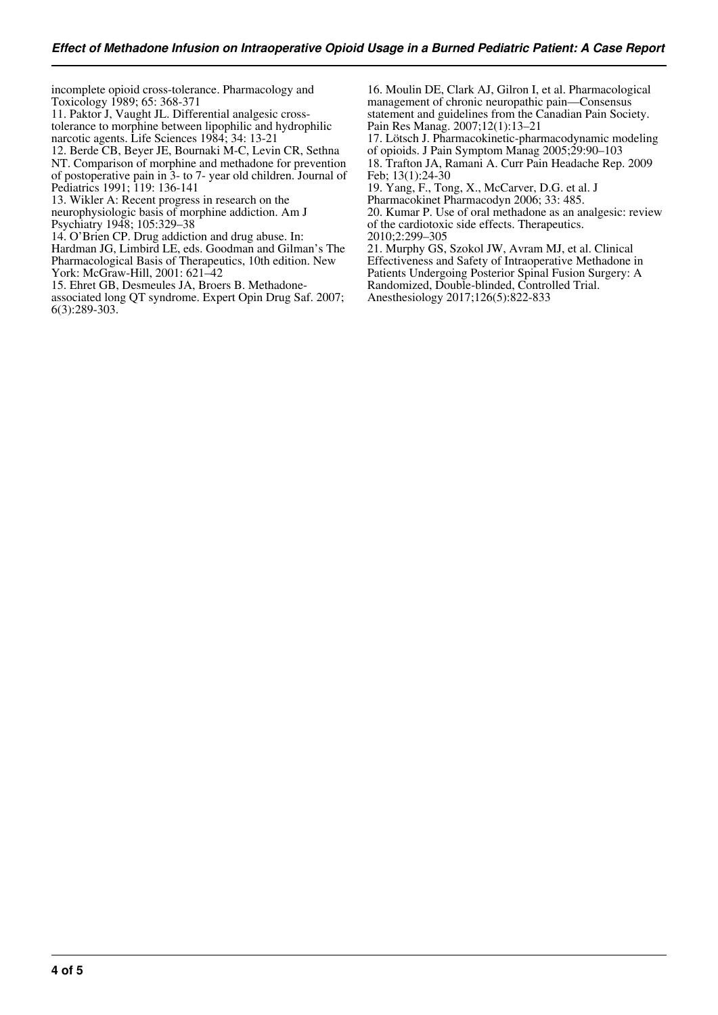incomplete opioid cross-tolerance. Pharmacology and Toxicology 1989; 65: 368-371

11. Paktor J, Vaught JL. Differential analgesic crosstolerance to morphine between lipophilic and hydrophilic narcotic agents. Life Sciences 1984; 34: 13-21

12. Berde CB, Beyer JE, Bournaki M-C, Levin CR, Sethna NT. Comparison of morphine and methadone for prevention of postoperative pain in 3- to 7- year old children. Journal of Pediatrics 1991; 119: 136-141

13. Wikler A: Recent progress in research on the

neurophysiologic basis of morphine addiction. Am J Psychiatry 1948; 105:329–38

14. O'Brien CP. Drug addiction and drug abuse. In:

Hardman JG, Limbird LE, eds. Goodman and Gilman's The Pharmacological Basis of Therapeutics, 10th edition. New York: McGraw-Hill, 2001: 621–42

15. Ehret GB, Desmeules JA, Broers B. Methadoneassociated long QT syndrome. Expert Opin Drug Saf. 2007; 6(3):289-303.

16. Moulin DE, Clark AJ, Gilron I, et al. Pharmacological management of chronic neuropathic pain—Consensus statement and guidelines from the Canadian Pain Society. Pain Res Manag. 2007;12(1):13–21

17. Lötsch J. Pharmacokinetic-pharmacodynamic modeling of opioids. J Pain Symptom Manag 2005;29:90–103 18. Trafton JA, Ramani A. Curr Pain Headache Rep. 2009

Feb; 13(1):24-30

19. Yang, F., Tong, X., McCarver, D.G. et al. J

Pharmacokinet Pharmacodyn 2006; 33: 485.

20. Kumar P. Use of oral methadone as an analgesic: review of the cardiotoxic side effects. Therapeutics.

2010;2:299–305

21. Murphy GS, Szokol JW, Avram MJ, et al. Clinical Effectiveness and Safety of Intraoperative Methadone in

Patients Undergoing Posterior Spinal Fusion Surgery: A

Randomized, Double-blinded, Controlled Trial.

Anesthesiology 2017;126(5):822-833